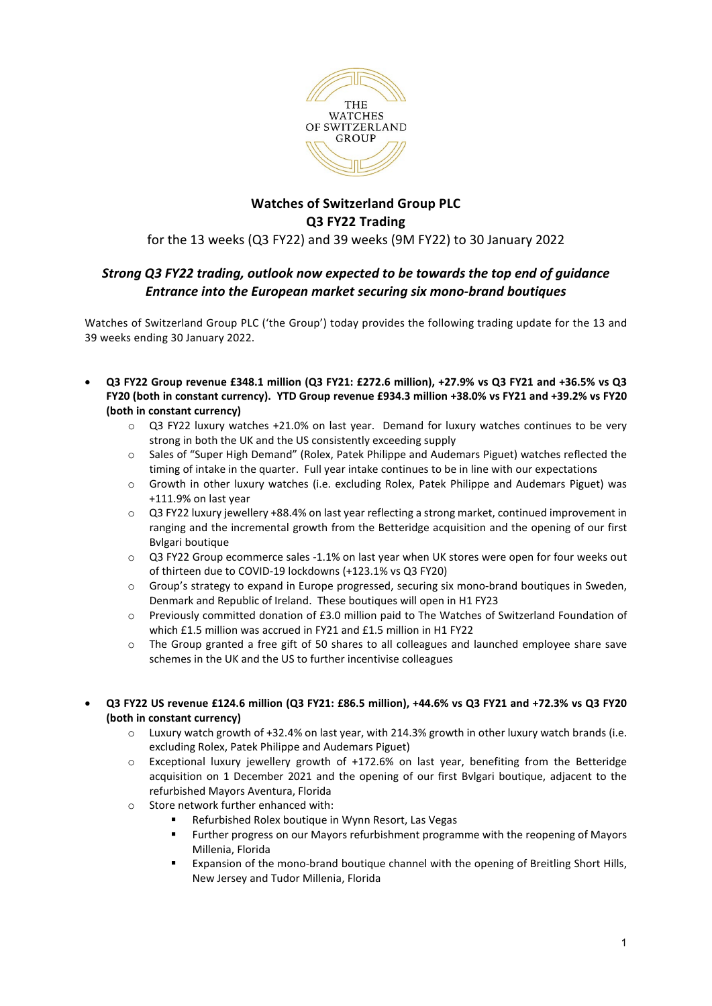

# **Watches of Switzerland Group PLC Q3 FY22 Trading** for the 13 weeks (Q3 FY22) and 39 weeks (9M FY22) to 30 January 2022

## *Strong Q3 FY22 trading, outlook now expected to be towards the top end of guidance Entrance into the European market securing six mono-brand boutiques*

Watches of Switzerland Group PLC ('the Group') today provides the following trading update for the 13 and 39 weeks ending 30 January 2022.

- **Q3 FY22 Group revenue £348.1 million (Q3 FY21: £272.6 million), +27.9% vs Q3 FY21 and +36.5% vs Q3 FY20 (both in constant currency). YTD Group revenue £934.3 million +38.0% vs FY21 and +39.2% vs FY20 (both in constant currency)**
	- $\circ$  Q3 FY22 luxury watches +21.0% on last year. Demand for luxury watches continues to be very strong in both the UK and the US consistently exceeding supply
	- o Sales of "Super High Demand" (Rolex, Patek Philippe and Audemars Piguet) watches reflected the timing of intake in the quarter. Full year intake continues to be in line with our expectations
	- o Growth in other luxury watches (i.e. excluding Rolex, Patek Philippe and Audemars Piguet) was +111.9% on last year
	- o Q3 FY22 luxury jewellery +88.4% on last year reflecting a strong market, continued improvement in ranging and the incremental growth from the Betteridge acquisition and the opening of our first Bvlgari boutique
	- o Q3 FY22 Group ecommerce sales -1.1% on last year when UK stores were open for four weeks out of thirteen due to COVID-19 lockdowns (+123.1% vs Q3 FY20)
	- o Group's strategy to expand in Europe progressed, securing six mono-brand boutiques in Sweden, Denmark and Republic of Ireland. These boutiques will open in H1 FY23
	- o Previously committed donation of £3.0 million paid to The Watches of Switzerland Foundation of which £1.5 million was accrued in FY21 and £1.5 million in H1 FY22
	- o The Group granted a free gift of 50 shares to all colleagues and launched employee share save schemes in the UK and the US to further incentivise colleagues
- **Q3 FY22 US revenue £124.6 million (Q3 FY21: £86.5 million), +44.6% vs Q3 FY21 and +72.3% vs Q3 FY20 (both in constant currency)**
	- o Luxury watch growth of +32.4% on last year, with 214.3% growth in other luxury watch brands (i.e. excluding Rolex, Patek Philippe and Audemars Piguet)
	- $\circ$  Exceptional luxury jewellery growth of +172.6% on last year, benefiting from the Betteridge acquisition on 1 December 2021 and the opening of our first Bvlgari boutique, adjacent to the refurbished Mayors Aventura, Florida
	- o Store network further enhanced with:
		- Refurbished Rolex boutique in Wynn Resort, Las Vegas
		- Further progress on our Mayors refurbishment programme with the reopening of Mayors Millenia, Florida
		- Expansion of the mono-brand boutique channel with the opening of Breitling Short Hills, New Jersey and Tudor Millenia, Florida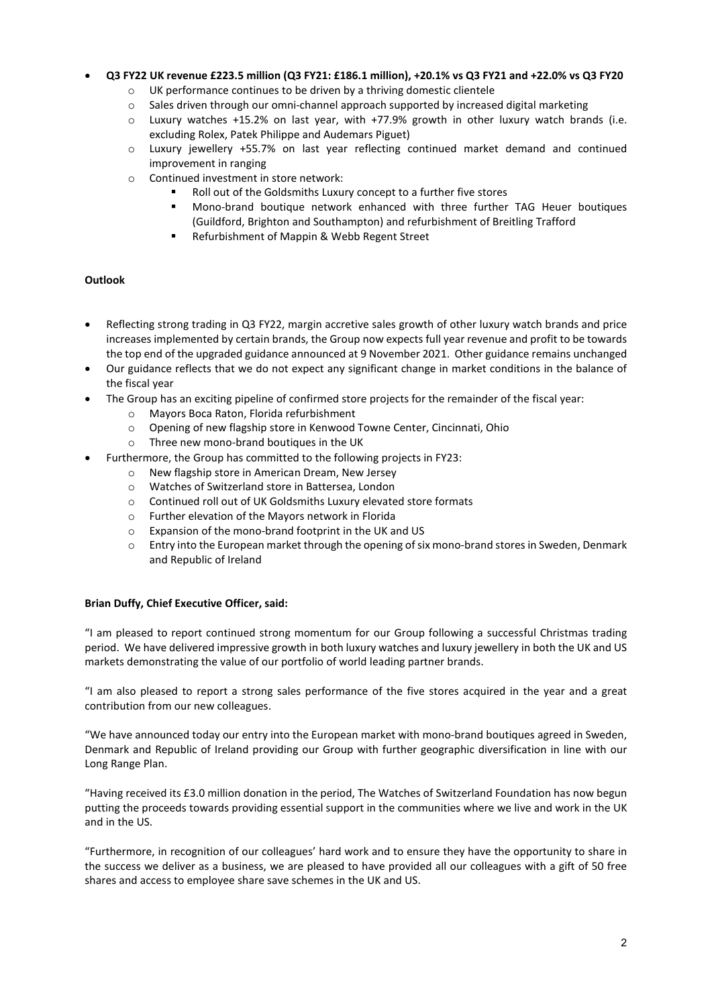## • **Q3 FY22 UK revenue £223.5 million (Q3 FY21: £186.1 million), +20.1% vs Q3 FY21 and +22.0% vs Q3 FY20**

- o UK performance continues to be driven by a thriving domestic clientele
- o Sales driven through our omni-channel approach supported by increased digital marketing
- o Luxury watches +15.2% on last year, with +77.9% growth in other luxury watch brands (i.e. excluding Rolex, Patek Philippe and Audemars Piguet)
- o Luxury jewellery +55.7% on last year reflecting continued market demand and continued improvement in ranging
- o Continued investment in store network:
	- Roll out of the Goldsmiths Luxury concept to a further five stores
	- Mono-brand boutique network enhanced with three further TAG Heuer boutiques (Guildford, Brighton and Southampton) and refurbishment of Breitling Trafford
	- Refurbishment of Mappin & Webb Regent Street

## **Outlook**

- Reflecting strong trading in Q3 FY22, margin accretive sales growth of other luxury watch brands and price increases implemented by certain brands, the Group now expects full year revenue and profit to be towards the top end of the upgraded guidance announced at 9 November 2021. Other guidance remains unchanged
- Our guidance reflects that we do not expect any significant change in market conditions in the balance of the fiscal year
- The Group has an exciting pipeline of confirmed store projects for the remainder of the fiscal year:
	- o Mayors Boca Raton, Florida refurbishment
	- o Opening of new flagship store in Kenwood Towne Center, Cincinnati, Ohio
	- o Three new mono-brand boutiques in the UK
	- Furthermore, the Group has committed to the following projects in FY23:
		- o New flagship store in American Dream, New Jersey<br>
		o Watches of Switzerland store in Battersea. London
		-
		- o Watches of Switzerland store in Battersea, London<br>  $\circ$  Continued roll out of UK Goldsmiths Luxurv elevate Continued roll out of UK Goldsmiths Luxury elevated store formats
		- o Further elevation of the Mayors network in Florida
		- o Expansion of the mono-brand footprint in the UK and US
		- o Entry into the European market through the opening of six mono-brand stores in Sweden, Denmark and Republic of Ireland

#### **Brian Duffy, Chief Executive Officer, said:**

"I am pleased to report continued strong momentum for our Group following a successful Christmas trading period. We have delivered impressive growth in both luxury watches and luxury jewellery in both the UK and US markets demonstrating the value of our portfolio of world leading partner brands.

"I am also pleased to report a strong sales performance of the five stores acquired in the year and a great contribution from our new colleagues.

"We have announced today our entry into the European market with mono-brand boutiques agreed in Sweden, Denmark and Republic of Ireland providing our Group with further geographic diversification in line with our Long Range Plan.

"Having received its £3.0 million donation in the period, The Watches of Switzerland Foundation has now begun putting the proceeds towards providing essential support in the communities where we live and work in the UK and in the US.

"Furthermore, in recognition of our colleagues' hard work and to ensure they have the opportunity to share in the success we deliver as a business, we are pleased to have provided all our colleagues with a gift of 50 free shares and access to employee share save schemes in the UK and US.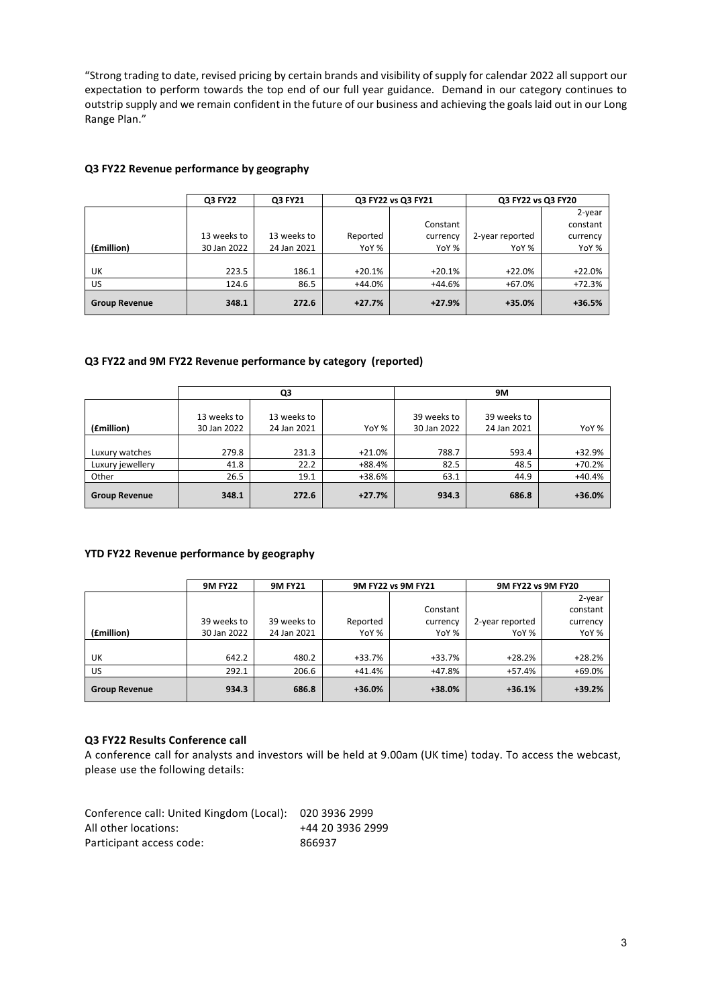"Strong trading to date, revised pricing by certain brands and visibility of supply for calendar 2022 all support our expectation to perform towards the top end of our full year guidance. Demand in our category continues to outstrip supply and we remain confident in the future of our business and achieving the goals laid out in our Long Range Plan."

## **Q3 FY22 Revenue performance by geography**

|                      | Q3 FY22     | Q3 FY21     | Q3 FY22 vs Q3 FY21 |          | Q3 FY22 vs Q3 FY20 |          |
|----------------------|-------------|-------------|--------------------|----------|--------------------|----------|
|                      |             |             |                    |          |                    | 2-year   |
|                      |             |             |                    | Constant |                    | constant |
|                      | 13 weeks to | 13 weeks to | Reported           | currency | 2-year reported    | currency |
| (£million)           | 30 Jan 2022 | 24 Jan 2021 | YoY %              | YoY %    | YoY %              | YoY %    |
|                      |             |             |                    |          |                    |          |
| UK                   | 223.5       | 186.1       | $+20.1%$           | $+20.1%$ | $+22.0%$           | $+22.0%$ |
| <b>US</b>            | 124.6       | 86.5        | $+44.0%$           | +44.6%   | $+67.0%$           | $+72.3%$ |
| <b>Group Revenue</b> | 348.1       | 272.6       | $+27.7%$           | $+27.9%$ | $+35.0%$           | $+36.5%$ |

## **Q3 FY22 and 9M FY22 Revenue performance by category (reported)**

|                      | Q3          |             |           | 9M          |             |          |
|----------------------|-------------|-------------|-----------|-------------|-------------|----------|
|                      |             |             |           |             |             |          |
|                      | 13 weeks to | 13 weeks to |           | 39 weeks to | 39 weeks to |          |
| (£million)           | 30 Jan 2022 | 24 Jan 2021 | YoY %     | 30 Jan 2022 | 24 Jan 2021 | YoY %    |
|                      |             |             |           |             |             |          |
| Luxury watches       | 279.8       | 231.3       | $+21.0\%$ | 788.7       | 593.4       | $+32.9%$ |
| Luxury jewellery     | 41.8        | 22.2        | +88.4%    | 82.5        | 48.5        | $+70.2%$ |
| Other                | 26.5        | 19.1        | +38.6%    | 63.1        | 44.9        | $+40.4%$ |
| <b>Group Revenue</b> | 348.1       | 272.6       | $+27.7%$  | 934.3       | 686.8       | $+36.0%$ |

## **YTD FY22 Revenue performance by geography**

|                      | <b>9M FY22</b> | <b>9M FY21</b> | 9M FY22 vs 9M FY21 |          | 9M FY22 vs 9M FY20 |          |
|----------------------|----------------|----------------|--------------------|----------|--------------------|----------|
|                      |                |                |                    |          |                    | 2-year   |
|                      |                |                |                    | Constant |                    | constant |
|                      | 39 weeks to    | 39 weeks to    | Reported           | currency | 2-year reported    | currency |
| (£million)           | 30 Jan 2022    | 24 Jan 2021    | YoY %              | YoY %    | YoY %              | YoY %    |
|                      |                |                |                    |          |                    |          |
| UK                   | 642.2          | 480.2          | $+33.7%$           | +33.7%   | $+28.2%$           | $+28.2%$ |
| <b>US</b>            | 292.1          | 206.6          | $+41.4%$           | +47.8%   | +57.4%             | +69.0%   |
| <b>Group Revenue</b> | 934.3          | 686.8          | $+36.0%$           | $+38.0%$ | $+36.1%$           | $+39.2%$ |

### **Q3 FY22 Results Conference call**

A conference call for analysts and investors will be held at 9.00am (UK time) today. To access the webcast, please use the following details:

| Conference call: United Kingdom (Local): 020 3936 2999 |                  |
|--------------------------------------------------------|------------------|
| All other locations:                                   | +44 20 3936 2999 |
| Participant access code:                               | 866937           |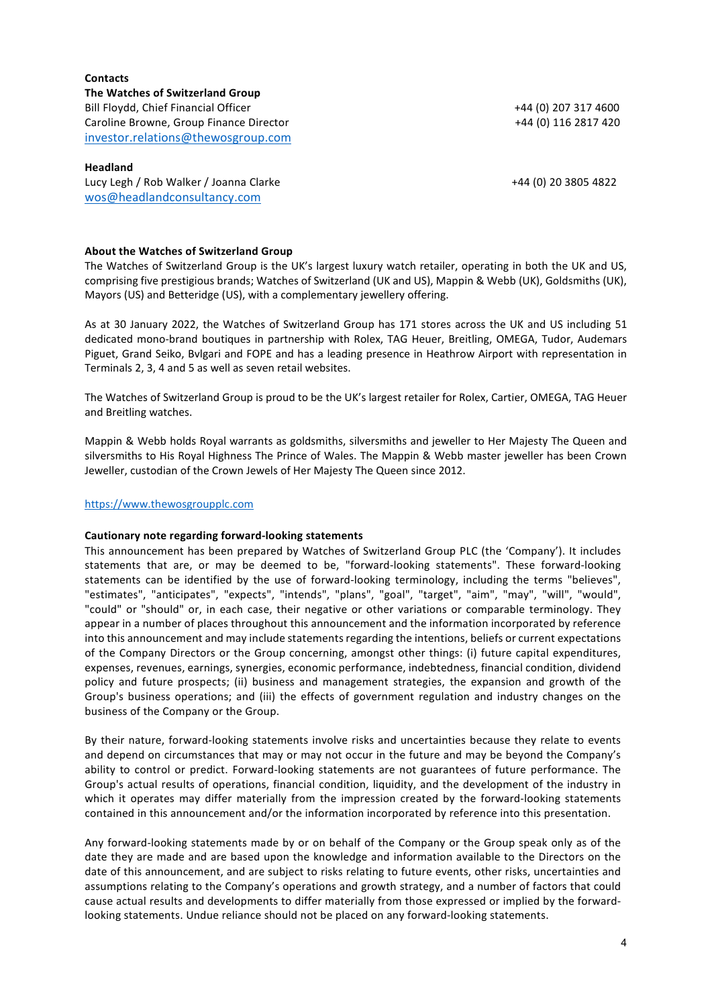**Contacts The Watches of Switzerland Group** Bill Floydd, Chief Financial Officer +44 (0) 207 317 4600 Caroline Browne, Group Finance Director  $+44$  (0) 116 2817 420 [investor.relations@thewosgroup.com](mailto:investor.relations@thewosgroup.com)

#### **Headland**

Lucy Legh / Rob Walker / Joanna Clarke +44 (0) 20 3805 4822 [wos@headlandconsultancy.com](mailto:wos@headlandconsultancy.com)

#### **About the Watches of Switzerland Group**

The Watches of Switzerland Group is the UK's largest luxury watch retailer, operating in both the UK and US, comprising five prestigious brands; Watches of Switzerland (UK and US), Mappin & Webb (UK), Goldsmiths (UK), Mayors (US) and Betteridge (US), with a complementary jewellery offering.

As at 30 January 2022, the Watches of Switzerland Group has 171 stores across the UK and US including 51 dedicated mono-brand boutiques in partnership with Rolex, TAG Heuer, Breitling, OMEGA, Tudor, Audemars Piguet, Grand Seiko, Bvlgari and FOPE and has a leading presence in Heathrow Airport with representation in Terminals 2, 3, 4 and 5 as well as seven retail websites.

The Watches of Switzerland Group is proud to be the UK's largest retailer for Rolex, Cartier, OMEGA, TAG Heuer and Breitling watches.

Mappin & Webb holds Royal warrants as goldsmiths, silversmiths and jeweller to Her Majesty The Queen and silversmiths to His Royal Highness The Prince of Wales. The Mappin & Webb master jeweller has been Crown Jeweller, custodian of the Crown Jewels of Her Majesty The Queen since 2012.

#### [https://www.thewosgroupplc.com](https://www.thewosgroupplc.com/)

#### **Cautionary note regarding forward-looking statements**

This announcement has been prepared by Watches of Switzerland Group PLC (the 'Company'). It includes statements that are, or may be deemed to be, "forward-looking statements". These forward-looking statements can be identified by the use of forward-looking terminology, including the terms "believes", "estimates", "anticipates", "expects", "intends", "plans", "goal", "target", "aim", "may", "will", "would", "could" or "should" or, in each case, their negative or other variations or comparable terminology. They appear in a number of places throughout this announcement and the information incorporated by reference into this announcement and may include statements regarding the intentions, beliefs or current expectations of the Company Directors or the Group concerning, amongst other things: (i) future capital expenditures, expenses, revenues, earnings, synergies, economic performance, indebtedness, financial condition, dividend policy and future prospects; (ii) business and management strategies, the expansion and growth of the Group's business operations; and (iii) the effects of government regulation and industry changes on the business of the Company or the Group.

By their nature, forward-looking statements involve risks and uncertainties because they relate to events and depend on circumstances that may or may not occur in the future and may be beyond the Company's ability to control or predict. Forward-looking statements are not guarantees of future performance. The Group's actual results of operations, financial condition, liquidity, and the development of the industry in which it operates may differ materially from the impression created by the forward-looking statements contained in this announcement and/or the information incorporated by reference into this presentation.

Any forward-looking statements made by or on behalf of the Company or the Group speak only as of the date they are made and are based upon the knowledge and information available to the Directors on the date of this announcement, and are subject to risks relating to future events, other risks, uncertainties and assumptions relating to the Company's operations and growth strategy, and a number of factors that could cause actual results and developments to differ materially from those expressed or implied by the forwardlooking statements. Undue reliance should not be placed on any forward-looking statements.